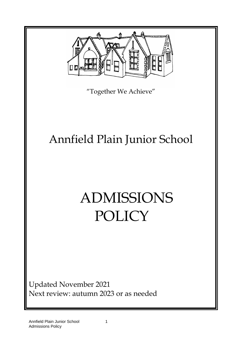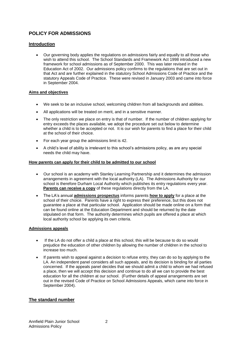# **POLICY FOR ADMISSIONS**

## **Introduction**

• Our governing body applies the regulations on admissions fairly and equally to all those who wish to attend this school. The School Standards and Framework Act 1998 introduced a new framework for school admissions as of September 2000. This was later revised in the Education Act of 2002. Our admissions policy confirms to the regulations that are set out in that Act and are further explained in the statutory School Admissions Code of Practice and the statutory Appeals Code of Practice. These were revised in January 2003 and came into force in September 2004.

### **Aims and objectives**

- We seek to be an inclusive school, welcoming children from all backgrounds and abilities.
- All applications will be treated on merit, and in a sensitive manner.
- The only restriction we place on entry is that of number. If the number of children applying for entry exceeds the places available, we adopt the procedure set out below to determine whether a child is to be accepted or not. It is our wish for parents to find a place for their child at the school of their choice.
- For each year group the admissions limit is 42.
- A child's level of ability is irrelevant to this school's admissions policy, as are any special needs the child may have.

### **How parents can apply for their child to be admitted to our school**

- Our school is an academy with Stanley Learning Partnership and it determines the admission arrangements in agreement with the local authority (LA). The Admissions Authority for our school is therefore Durham Local Authority which publishes its entry regulations every year. **Parents can receive a copy** of these regulations directly from the LA.
- The LA's annual **admissions prospectus** informs parents **how to apply** for a place at the school of their choice. Parents have a right to express their preference, but this does not guarantee a place at that particular school. Application should be made online on a form that can be found online at the Education Department and should be returned by the date stipulated on that form. The authority determines which pupils are offered a place at which local authority school be applying its own criteria.

#### **Admissions appeals**

- If the LA do not offer a child a place at this school, this will be because to do so would prejudice the education of other children by allowing the number of children in the school to increase too much.
- If parents wish to appeal against a decision to refuse entry, they can do so by applying to the LA. An independent panel considers all such appeals, and its decision is binding for all parties concerned. If the appeals panel decides that we should admit a child to whom we had refused a place, then we will accept this decision and continue to do all we can to provide the best education for all the children at our school. (Further details of appeal arrangements are set out in the revised Code of Practice on School Admissions Appeals, which came into force in September 2004).

## **The standard number**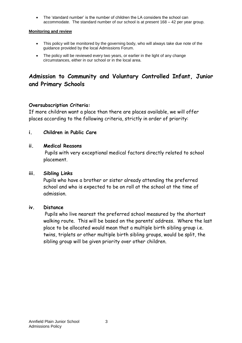• The 'standard number' is the number of children the LA considers the school can accommodate. The standard number of our school is at present 168 – 42 per year group.

## **Monitoring and review**

- This policy will be monitored by the governing body, who will always take due note of the guidance provided by the local Admissions Forum.
- The policy will be reviewed every two years, or earlier in the light of any change circumstances, either in our school or in the local area.

# **Admission to Community and Voluntary Controlled Infant, Junior and Primary Schools**

# **Oversubscription Criteria:**

If more children want a place than there are places available, we will offer places according to the following criteria, strictly in order of priority:

## **i. Children in Public Care**

## **ii. Medical Reasons**

 Pupils with very exceptional medical factors directly related to school placement.

## **iii. Sibling Links**

 Pupils who have a brother or sister already attending the preferred school and who is expected to be on roll at the school at the time of admission.

## **iv. Distance**

 Pupils who live nearest the preferred school measured by the shortest walking route. This will be based on the parents' address. Where the last place to be allocated would mean that a multiple birth sibling group i.e. twins, triplets or other multiple birth sibling groups, would be split, the sibling group will be given priority over other children.